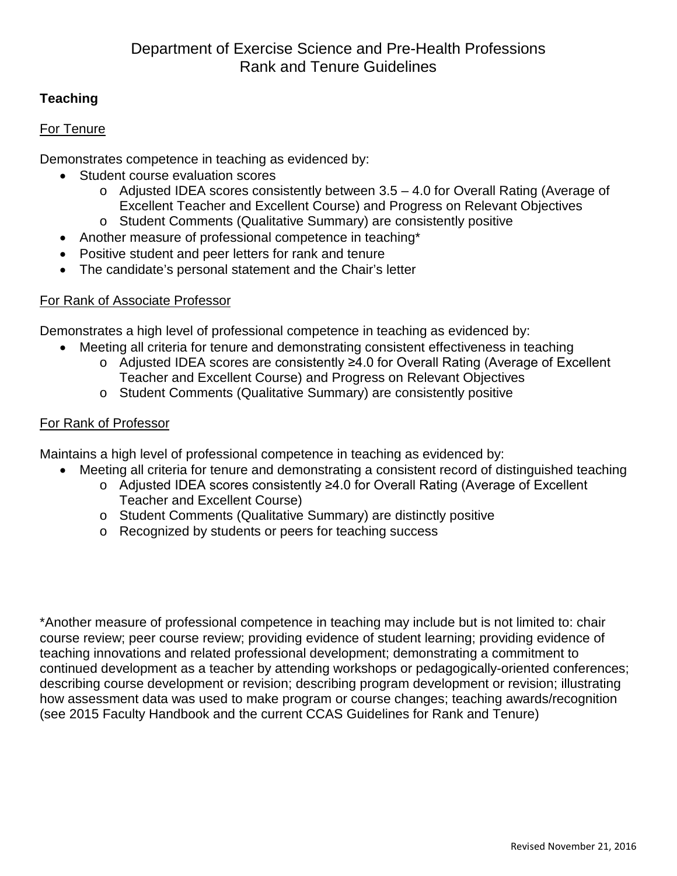# **Teaching**

### For Tenure

Demonstrates competence in teaching as evidenced by:

- Student course evaluation scores
	- o Adjusted IDEA scores consistently between 3.5 4.0 for Overall Rating (Average of Excellent Teacher and Excellent Course) and Progress on Relevant Objectives
	- o Student Comments (Qualitative Summary) are consistently positive
- Another measure of professional competence in teaching\*
- Positive student and peer letters for rank and tenure
- The candidate's personal statement and the Chair's letter

## For Rank of Associate Professor

Demonstrates a high level of professional competence in teaching as evidenced by:

- Meeting all criteria for tenure and demonstrating consistent effectiveness in teaching
	- o Adjusted IDEA scores are consistently ≥4.0 for Overall Rating (Average of Excellent Teacher and Excellent Course) and Progress on Relevant Objectives
	- o Student Comments (Qualitative Summary) are consistently positive

## For Rank of Professor

Maintains a high level of professional competence in teaching as evidenced by:

- Meeting all criteria for tenure and demonstrating a consistent record of distinguished teaching
	- o Adjusted IDEA scores consistently ≥4.0 for Overall Rating (Average of Excellent Teacher and Excellent Course)
	- o Student Comments (Qualitative Summary) are distinctly positive
	- o Recognized by students or peers for teaching success

\*Another measure of professional competence in teaching may include but is not limited to: chair course review; peer course review; providing evidence of student learning; providing evidence of teaching innovations and related professional development; demonstrating a commitment to continued development as a teacher by attending workshops or pedagogically-oriented conferences; describing course development or revision; describing program development or revision; illustrating how assessment data was used to make program or course changes; teaching awards/recognition (see 2015 Faculty Handbook and the current CCAS Guidelines for Rank and Tenure)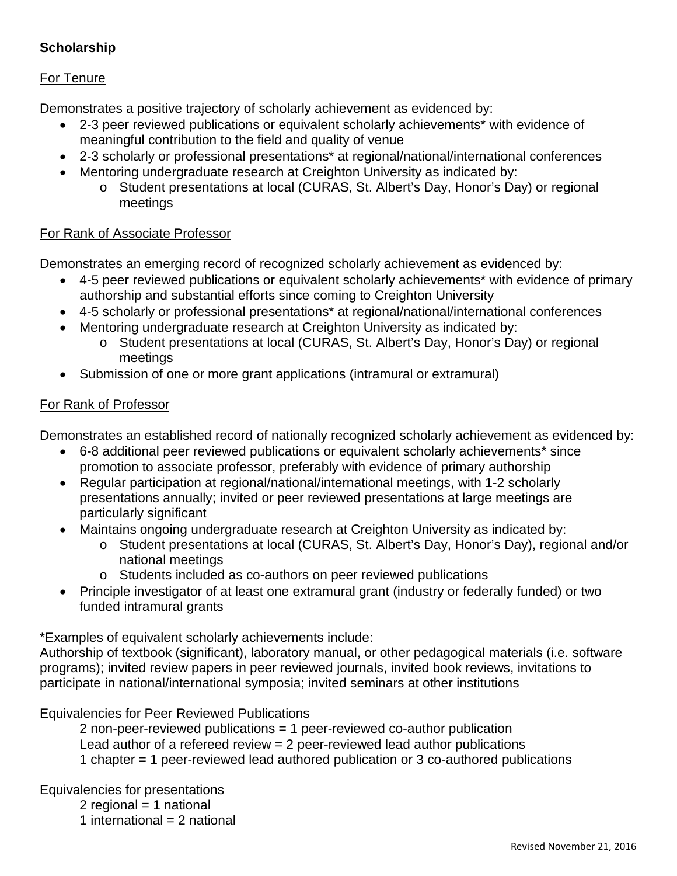# **Scholarship**

### For Tenure

Demonstrates a positive trajectory of scholarly achievement as evidenced by:

- 2-3 peer reviewed publications or equivalent scholarly achievements\* with evidence of meaningful contribution to the field and quality of venue
- 2-3 scholarly or professional presentations\* at regional/national/international conferences
- Mentoring undergraduate research at Creighton University as indicated by:
	- o Student presentations at local (CURAS, St. Albert's Day, Honor's Day) or regional meetings

### For Rank of Associate Professor

Demonstrates an emerging record of recognized scholarly achievement as evidenced by:

- 4-5 peer reviewed publications or equivalent scholarly achievements\* with evidence of primary authorship and substantial efforts since coming to Creighton University
- 4-5 scholarly or professional presentations\* at regional/national/international conferences
- Mentoring undergraduate research at Creighton University as indicated by:
	- o Student presentations at local (CURAS, St. Albert's Day, Honor's Day) or regional meetings
- Submission of one or more grant applications (intramural or extramural)

### For Rank of Professor

Demonstrates an established record of nationally recognized scholarly achievement as evidenced by:

- 6-8 additional peer reviewed publications or equivalent scholarly achievements\* since promotion to associate professor, preferably with evidence of primary authorship
- Regular participation at regional/national/international meetings, with 1-2 scholarly presentations annually; invited or peer reviewed presentations at large meetings are particularly significant
- Maintains ongoing undergraduate research at Creighton University as indicated by:
	- o Student presentations at local (CURAS, St. Albert's Day, Honor's Day), regional and/or national meetings
	- o Students included as co-authors on peer reviewed publications
- Principle investigator of at least one extramural grant (industry or federally funded) or two funded intramural grants

\*Examples of equivalent scholarly achievements include:

Authorship of textbook (significant), laboratory manual, or other pedagogical materials (i.e. software programs); invited review papers in peer reviewed journals, invited book reviews, invitations to participate in national/international symposia; invited seminars at other institutions

Equivalencies for Peer Reviewed Publications

2 non-peer-reviewed publications = 1 peer-reviewed co-author publication Lead author of a refereed review = 2 peer-reviewed lead author publications 1 chapter = 1 peer-reviewed lead authored publication or 3 co-authored publications

Equivalencies for presentations

- 2 regional  $=$  1 national
- 1 international  $= 2$  national